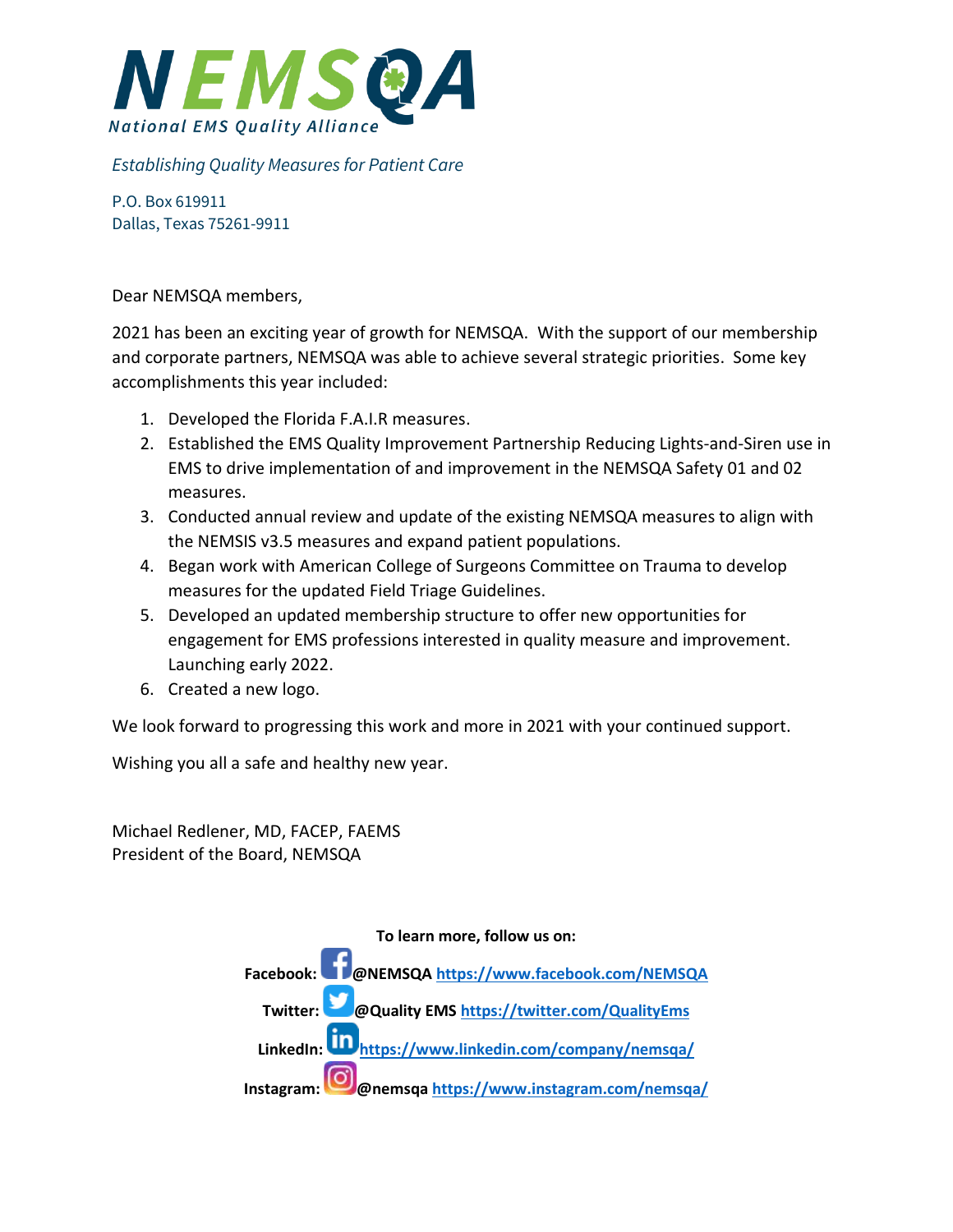

## *Establishing Quality Measures for Patient Care*

P.O. Box 619911 Dallas, Texas 75261-9911

Dear NEMSQA members,

2021 has been an exciting year of growth for NEMSQA. With the support of our membership and corporate partners, NEMSQA was able to achieve several strategic priorities. Some key accomplishments this year included:

- 1. Developed the Florida F.A.I.R measures.
- 2. Established the EMS Quality Improvement Partnership Reducing Lights-and-Siren use in EMS to drive implementation of and improvement in the NEMSQA Safety 01 and 02 measures.
- 3. Conducted annual review and update of the existing NEMSQA measures to align with the NEMSIS v3.5 measures and expand patient populations.
- 4. Began work with American College of Surgeons Committee on Trauma to develop measures for the updated Field Triage Guidelines.
- 5. Developed an updated membership structure to offer new opportunities for engagement for EMS professions interested in quality measure and improvement. Launching early 2022.
- 6. Created a new logo.

We look forward to progressing this work and more in 2021 with your continued support.

Wishing you all a safe and healthy new year.

Michael Redlener, MD, FACEP, FAEMS President of the Board, NEMSQA

> **To learn more, follow us on: Facebook:@NEMSQA<https://www.facebook.com/NEMSQA> Twitter: [@](https://twitter.com/QualityEms)Quality EMS<https://twitter.com/QualityEms> LinkedIn:<https://www.linkedin.com/company/nemsqa/> Instagram:@nemsq[a https://www.instagram.com/nemsqa/](https://www.instagram.com/nemsqa/)**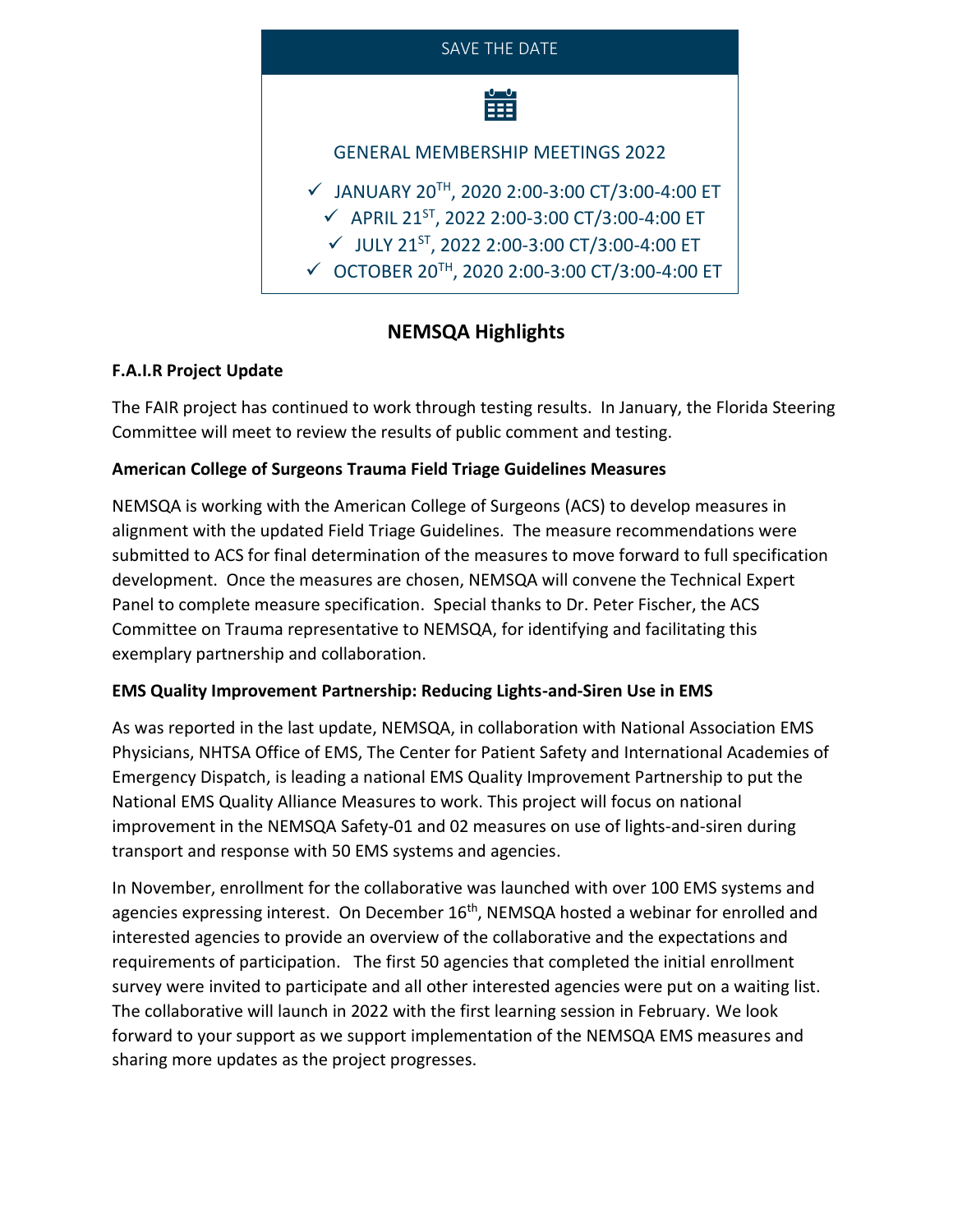

# **NEMSQA Highlights**

### **F.A.I.R Project Update**

The FAIR project has continued to work through testing results. In January, the Florida Steering Committee will meet to review the results of public comment and testing.

## **American College of Surgeons Trauma Field Triage Guidelines Measures**

NEMSQA is working with the American College of Surgeons (ACS) to develop measures in alignment with the updated Field Triage Guidelines. The measure recommendations were submitted to ACS for final determination of the measures to move forward to full specification development. Once the measures are chosen, NEMSQA will convene the Technical Expert Panel to complete measure specification. Special thanks to Dr. Peter Fischer, the ACS Committee on Trauma representative to NEMSQA, for identifying and facilitating this exemplary partnership and collaboration.

### **EMS Quality Improvement Partnership: Reducing Lights-and-Siren Use in EMS**

As was reported in the last update, NEMSQA, in collaboration with National Association EMS Physicians, NHTSA Office of EMS, The Center for Patient Safety and International Academies of Emergency Dispatch, is leading a national EMS Quality Improvement Partnership to put the National EMS Quality Alliance Measures to work. This project will focus on national improvement in the NEMSQA Safety-01 and 02 measures on use of lights-and-siren during transport and response with 50 EMS systems and agencies.

In November, enrollment for the collaborative was launched with over 100 EMS systems and agencies expressing interest. On December 16<sup>th</sup>, NEMSQA hosted a webinar for enrolled and interested agencies to provide an overview of the collaborative and the expectations and requirements of participation. The first 50 agencies that completed the initial enrollment survey were invited to participate and all other interested agencies were put on a waiting list. The collaborative will launch in 2022 with the first learning session in February. We look forward to your support as we support implementation of the NEMSQA EMS measures and sharing more updates as the project progresses.